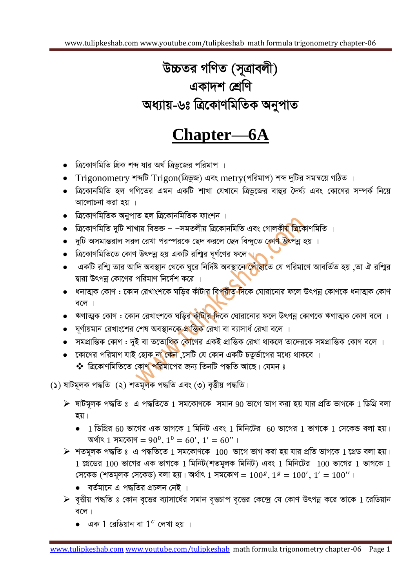## উচ্চতর গণিত (সূত্রাবলী) একাদশ শ্ৰেণি অধ্যায়-৬ঃ ত্রিকোণমিতিক অনুপাত

## **Chapter-6A**

- ত্রিকোণমিতি গ্রিক শব্দ যার অর্থ ত্রিভুজের পরিমাপ ।
- Trigonometry শব্দটি Trigon(ত্রিভুজ) এবং metry(পরিমাপ) শব্দ দুটির সমন্বয়ে গঠিত ।
- ত্রিকোনমিতি হল গণিতের এমন একটি শাখা যেখানে ত্রিভুজের বাহুর দৈর্ঘ্য এবং কোণের সম্পর্ক নিয়ে আলোচনা করা হয় ।
- ত্ৰিকোণমিতিক অনুপাত হল ত্ৰিকোনমিতিক ফাংশন ।
- ত্রিকোণমিতি দুটি শাখায় বিভক্ত –সমতলীয় ত্রিকোনমিতি এবং গোলকী<mark>য় ত্রি</mark>কোণমিতি ।
- দুটি অসমান্তরাল সরল রেখা পরস্পরকে ছেদ করলে ছেদ বিন্দুতে কো<mark>ণ উৎ</mark>পন্ন হয় ।
- ত্রিকোণমিতিতে কোণ উৎপন্ন হয় একটি রশাির ঘূর্ণণের ফলে ।
- একটি রশ্মি তার আদি অবস্থান থেকে ঘুরে নির্দিষ্ট অবস্থানে পোঁছাতে যে পরিমাণে আবর্তিত হয় .তা ঐ রশাির দ্বারা উৎপন্ন কোণের পরিমাণ নির্দেশ করে ।
- ধনাত্মক কোণ : কোন রেখাংশকে ঘড়ির কাঁটার বি<mark>পরীত দি</mark>কে ঘোরানোর ফলে উৎপন্ন কোণকে ধনাত্মক কোণ বলে।
- ঋণাত্মক কোণ : কোন রেখাংশকে ঘড়ির কাঁটীর দিকে ঘোরানোর ফলে উৎপন্ন কোণকে ঋণাত্মক কোণ বলে ।
- ঘূর্ণায়মান রেখাংশের শেষ অবস্থানকে প্রান্তিক রেখা বা ব্যাসার্ধ রেখা বলে ।
- সমপ্রান্তিক কোণ : দুই বা ততোধিক কোণের একই প্রান্তিক রেখা থাকলে তাদেরকে সমপ্রান্তিক কোণ বলে ।
- কোণের পরিমাণ যাই হোক না কেন ,সেটি যে কোন একটি চতুর্ভাগের মধ্যে থাকবে ।
	- \* ত্রিকোণমিতিতে কোণ পরিমাপের জন্য তিনটি পদ্ধতি আছে। যেমন ঃ

(১) ষাটমূলক পদ্ধতি (২) শতমূলক পদ্ধতি এবং (৩) বৃত্তীয় পদ্ধতি।

- $\triangleright$  ষাটমূলক পদ্ধতি ঃ এ পদ্ধতিতে 1 সমকোণকে সমান 90 ভাগে ভাগ করা হয় যার প্রতি ভাগকে 1 ডিগ্রি বলা হয়।
	- $\bullet$  1 ডিগ্রির 60 ভাগের এক ভাগকে 1 মিনিট এবং 1 মিনিটের  $\,$  60 ভাগের 1 ভাগকে 1 সেকেন্ড বলা হয়। অর্থাৎ 1 সমকোণ =  $90^0$ ,  $1^0 = 60'$ ,  $1' = 60''$ ।
- $\blacktriangleright$  শতমূলক পদ্ধতি ঃ এ পদ্ধতিতে 1 সমকোণকে  $~100~$  ভাগে ভাগ করা হয় যার প্রতি ভাগকে 1 গ্রেড বলা হয়।  $1$  গ্রেডের  $100$  ভাগের এক ভাগকে  $1$  মিনিট(শতমূলক মিনিট) এবং  $1$  মিনিটের  $100$  ভাগের  $1$  ভাগকে  $1$ সেকেন্ড (শতমূলক সেকেন্ড) বলা হয়। অর্থাৎ 1 সমকোণ =  $100^g$ ,  $1^g = 100'$ ,  $1' = 100''$ ।
	- বর্তমানে এ পদ্ধতির প্রচলন নেই ।
- $\triangleright$  বৃত্তীয় পদ্ধতি ঃ কোন বৃত্তের ব্যাসার্ধের সমান বৃত্তচাপ বৃত্তের কেন্দ্রে যে কোণ উৎপন্ন করে তাকে 1 রেডিয়ান বলে।
	- $\bullet$  এক  $1$  রেডিয়ান বা  $1^c$  লেখা হয় ।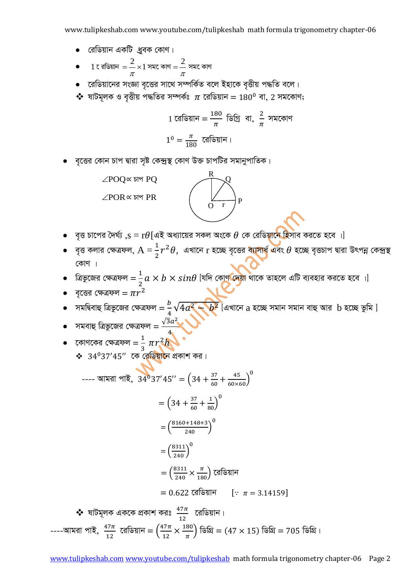- $\bullet$  রেডিয়ান একটি ধ্রবক কোণ।
- $1$  ৱেডিয়ান  $=\displaystyle\frac{2}{\pi}\times1$  সমৱে কাণ  $=\displaystyle\frac{2}{\pi}$  সমৱে কাণ
- রেডিয়ানের সংজ্ঞা বৃত্তের সাথে সম্পর্কিত বলে ইহাকে বৃত্তীয় পদ্ধতি বলে।
- $\clubsuit$  ষাটমূলক ও বৃত্তীয় পদ্ধতির সম্পর্কঃ  $\pi$  রেডিয়ান =  $180^0$  বা, 2 সমকোণ;

1 রেডিয়ান = 
$$
\frac{180}{\pi}
$$
 ডিগ্ৰি বা,  $\frac{2}{\pi}$  সমকোণ  
1<sup>0</sup> =  $\frac{\pi}{180}$  রেডিয়ান ।

বজের কোন চাপ দ্বারা সৃষ্ট কেন্দ্রস্থ কোণ উক্ত চাপটির সমানুপাতিক।

 $\angle POQ \propto$ চাপ  $PQ$  $\angle$ POR  $\propto$  চাপ PR



- বৃত্ত চাপের দৈর্ঘ্য , $\rm s=r\theta$ [এই অধ্যায়ের সকল অংকে  $\theta$  কে রেডিয়ানে হিসাব করতে হবে ।]
- $\bullet$  বৃত্ত কলার ক্ষেত্রফল,  $A=\frac{1}{2}r^2\theta$ , এখানে  $r$  হচ্ছে বৃত্তের ব্যাসার্ধ এবং  $\theta$  হচ্ছে বৃত্তচাপ দ্বারা উৎপন্ন কেন্দ্রস্থ কোণ ।
- ত্রিভুজের ক্ষেত্রফল =  $\frac{1}{2}a \times b \times sin\theta$  [যদি কোণ দেয়া থাকে তাহলে এটি ব্যবহার করতে হবে ।]
- বৃত্তের ক্ষেত্রফল =  $\pi r^2$
- $\bullet$  বৃত্তের ক্ষেত্রফল =  $\pi r^2$ <br>• সমদ্বিবাহু ত্রিভুজের ক্ষেত্রফল =  $\frac{b}{4}\sqrt{4a^2-b^2}$  [এখানে  $a$  হচ্ছে সমান সমান বাহু আর b হচ্ছে ভুমি ]
- 
- সমবাহু ত্রিভুজের ক্ষেত্রফল =  $\frac{\sqrt{3}a^2}{4}$ <br>• কোণকের ক্ষেত্রফল =  $\frac{1}{3} \pi r^2 h$ <br>• 34<sup>0</sup>37'45'' কে রেডিয়ানে প্রকাশ কর।

--- आমরা পাই, 34°37'45'' = 
$$
\left(34 + \frac{37}{60} + \frac{45}{60 \times 60}\right)^0
$$

$$
= \left(34 + \frac{37}{60} + \frac{1}{80}\right)^0
$$

$$
\left(3160 + 148 + 3\right)^0
$$

$$
-\left(\frac{240}{240}\right)
$$

$$
-\left(\frac{8311}{240}\right)
$$
  
=  $\left(\frac{8311}{240}\times\frac{\pi}{180}\right)$  রেডিয়ান

= 0.622 রেডিয়ান [∵ 
$$
\pi = 3.14159
$$
]

 $\clubsuit$  ষাটমূলক এককে প্রকাশ করঃ  $\frac{47\pi}{12}$  রেডিয়ান। ----আমরা পাই,  $\frac{47\pi}{12}$  রেডিয়ান =  $\left(\frac{47\pi}{12} \times \frac{180}{\pi}\right)$  ডিগ্রি =  $(47 \times 15)$  ডিগ্রি = 705 ডিগ্রি।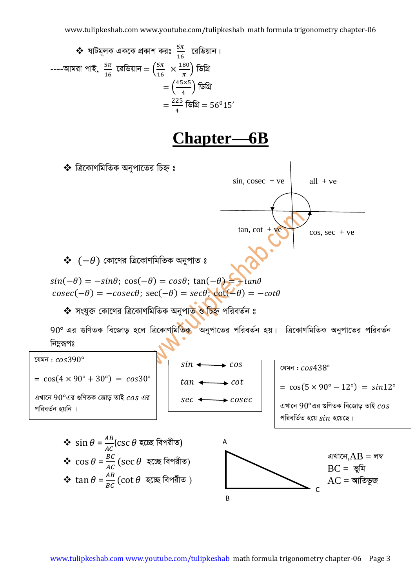$$
∴ \text{ a } \vec{b} \text{ a } \vec{c} \text{ a } \vec{d} \text{ a } \vec{d} \text{ a } \vec{d} \text{ a } \vec{d} \text{ a } \vec{d} \text{ a } \vec{d} \text{ a } \vec{d} \text{ a } \vec{d} \text{ a } \vec{d} \text{ a } \vec{d} \text{ a } \vec{d} \text{ a } \vec{d} \text{ a } \vec{d} \text{ a } \vec{d} \text{ a } \vec{d} \text{ a } \vec{d} \text{ a } \vec{d} \text{ a } \vec{d} \text{ a } \vec{d} \text{ a } \vec{d} \text{ a } \vec{d} \text{ a } \vec{d} \text{ a } \vec{d} \text{ a } \vec{d} \text{ a } \vec{d} \text{ a } \vec{d} \text{ a } \vec{d} \text{ a } \vec{d} \text{ a } \vec{d} \text{ a } \vec{d} \text{ a } \vec{d} \text{ a } \vec{d} \text{ a } \vec{d} \text{ a } \vec{d} \text{ a } \vec{d} \text{ a } \vec{d} \text{ a } \vec{d} \text{ a } \vec{d} \text{ a } \vec{d} \text{ a } \vec{d} \text{ a } \vec{d} \text{ a } \vec{d} \text{ a } \vec{d} \text{ a } \vec{d} \text{ a } \vec{d} \text{ a } \vec{d} \text{ a } \vec{d} \text{ a } \vec{d} \text{ a } \vec{d} \text{ a } \vec{d} \text{ a } \vec{d} \text{ a } \vec{d} \text{ a } \vec{d} \text{ a } \vec{d} \text{ a } \vec{d} \text{ a } \vec{d} \text{ a } \vec{d} \text{ a } \vec{d} \text{ a } \vec{d} \text{ a } \vec{d} \text{ a } \vec{d} \text{ a } \vec{d} \text{ a } \vec{d} \text{ a } \vec{d} \text{ a } \vec{d} \text{ a } \vec{d} \text{ a } \vec{d} \text{ a } \vec{d} \text{ a } \vec{d} \text{ a } \vec{d} \text{ a } \vec{d} \text{ a } \vec{d} \text{ a } \vec{d} \text{ a } \
$$

## **Chapter—6B**

 $\sin x \csc + v \e^x$  all  $+ v \e^x$ 

 $tan, cot + ve$  cos, sec + ve

*❖* ত্রিকোণমিতিক অনুপাতের চিহ্ন ঃ

 $\clubsuit$   $(-\theta)$  কোণের ত্রিকোণমিতিক অনুপাত ঃ

 $sin(-\theta) = -sin\theta$ ;  $cos(-\theta) = cos\theta$ ;  $tan(-\theta) = -tan\theta$  $cosec(-\theta) = -cosec\theta$ ;  $sec(-\theta) = sec\theta$ ;  $cot(-\theta) = -cot\theta$ 

*\** সংযুক্ত কোণের ত্রিকোণমিতিক অনুপাত ও চিহ্ন পরিবর্তন ঃ

 $90^\circ$  এর গুণিতক বিজোড় হলে ত্রিকোণমিতিক অনুপাতের পরিবর্তন হয়। ত্রিকোণমিতিক অনুপাতের পরিবর্তন *নিমু*রূপঃ





B

C

 $BC = \sqrt{g}$ মি  $AC =$  আতিভুজ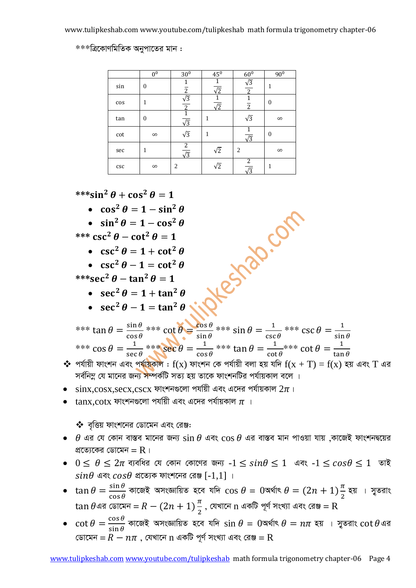\*\*\*ত্রিকোণমিতিক অনুপাতের মান :

|        | 0 <sup>0</sup> | 30 <sup>0</sup>              | 45 <sup>0</sup> | 60 <sup>0</sup>              | $90^{\overline{0}}$ |
|--------|----------------|------------------------------|-----------------|------------------------------|---------------------|
| sin    | $\overline{0}$ | $\overline{2}$               | $\sqrt{2}$      | $\sqrt{3}$<br>$\overline{2}$ |                     |
| $\cos$ | 1              | $\sqrt{3}$<br>$\overline{2}$ | $\sqrt{2}$      | $\overline{2}$               | $\theta$            |
| tan    | $\overline{0}$ | $\sqrt{3}$                   |                 | $\sqrt{3}$                   | $\infty$            |
| $\cot$ | $\infty$       | $\sqrt{3}$                   |                 | $\sqrt{3}$                   | $\theta$            |
| sec    | 1              | 2<br>$\sqrt{3}$              | $\sqrt{2}$      | 2                            | $\infty$            |
| csc    | $\infty$       | 2                            | $\sqrt{2}$      | $\overline{2}$<br>$\sqrt{3}$ |                     |

\*\*\*sin<sup>2</sup> $\theta$  + cos<sup>2</sup> $\theta$  = 1

 $\cos^2 \theta = 1 - \sin^2 \theta$ 

$$
\bullet \quad \sin^2 \theta = 1 - \cos^2 \theta
$$

$$
*** \csc^2 \theta - \cot^2 \theta = 1
$$

- 
- 

\*\*\*sec<sup>2</sup> $\theta$  – tan<sup>2</sup> $\theta$  = 1

- 
- 

 $\int \cot^2 \theta$ <br>  $\theta = 1 = \cot^2 \theta$ <br>  $\sec^2 \theta - \tan^2 \theta = 1$ <br>
•  $\sec^2 \theta = 1 + \tan^2 \theta$ <br>
•  $\sec^2 \theta - 1 = \tan^2 \theta$ <br>
•  $\tan \theta = \frac{\sin \theta}{\cos \theta}$  \*\*\*  $\cot^2 \theta$ \*\*\*  $\tan \theta = \frac{\sin \theta}{\cos \theta}$  \*\*\*  $\cot \theta = \frac{\cos \theta}{\sin \theta}$  \*\*\*  $\sin \theta = \frac{1}{\csc \theta}$  \*\*\*  $\csc \theta = \frac{1}{\sin \theta}$ \*\*\*  $\cos \theta = \frac{1}{\sec \theta}$  \*\*\*  $\sec \theta = \frac{1}{\cos \theta}$  \*\*\*  $\tan \theta = \frac{1}{\cot \theta}$  \*\*\*  $\cot \theta = \frac{1}{\tan \theta}$ 

- $\clubsuit$  পর্যায়ী ফাংশন এবং পর্যায়কাল :  $f(x)$  ফাংশন কে পর্যায়ী বলা হয় যদি  $f(x + T) = f(x)$  হয় এবং  $T$  এর সর্বনিম্ন যে মানের জন্য সম্পর্কটি সত্য হয় তাকে ফাংশনটির পর্যায়কাল বলে ।
- $\sin x$ . $\cos x$ . $\sec x$ . $\csc x$  ফাংশনগুলো পর্যায়ী এবং এদের পর্যায়কাল  $2\pi$ ।
- $\bullet$   $\;$  tanx.cotx ফাংশনগুলো পর্যায়ী এবং এদের পর্যায়কাল  $\pi$  ।

 $\clubsuit$  বৃত্তিয় ফাংশনের ডোমেন এবং রেঞ্জ:

- $\bullet$   $\,\theta$  এর যে কোন বাস্তব মানের জন্য  $\sin\theta$  এবং  $\cos\theta$  এর বাস্তব মান পাওয়া যায় ,কাজেই ফাংশনদ্বয়ের প্রত্যেকের ডোমেন $= R +$
- $\bullet$   $0 \le \theta \le 2\pi$  ব্যবধির যে কোন কোণের জন্য  $-1 \le \sin\theta \le 1$  এবং  $-1 \le \cos\theta \le 1$  তাই  $sin\theta$  এবং  $cos\theta$  প্রত্যেক ফাংশনের রেঞ্জ [-1,1]।
- $\tan \theta = \frac{\sin \theta}{\cos \theta}$  কাজেই অসংজ্ঞায়িত হবে যদি  $\cos \theta = 0$ অর্থাৎ  $\theta = (2n + 1)\frac{\pi}{2}$  হয় । সুতরাং tan  $\theta$ এর ডোমেন =  $R - (2n + 1)\frac{\pi}{2}$ , যেখানে n একটি পূর্ণ সংখ্যা এবং রেঞ্জ = R
- cot  $\theta = \frac{\cos \theta}{\sin \theta}$  কাজেই অসংজ্ঞায়িত হবে যদি  $\sin \theta = 0$ অর্থাৎ  $\theta = n\pi$  হয় । সুতরাং cot  $\theta$  এর ডোমেন =  $R - n\pi$  , যেখানে n একটি পূর্ণ সংখ্যা এবং রেঞ্জ = R